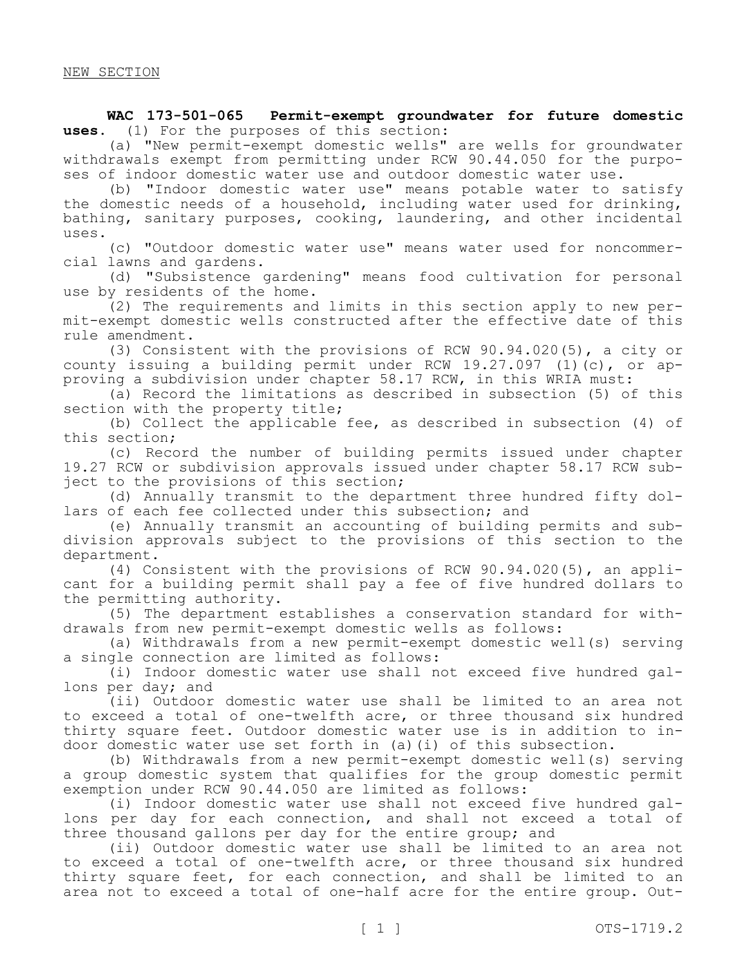**WAC 173-501-065 Permit-exempt groundwater for future domestic uses.** (1) For the purposes of this section:

(a) "New permit-exempt domestic wells" are wells for groundwater withdrawals exempt from permitting under RCW 90.44.050 for the purposes of indoor domestic water use and outdoor domestic water use.

(b) "Indoor domestic water use" means potable water to satisfy the domestic needs of a household, including water used for drinking, bathing, sanitary purposes, cooking, laundering, and other incidental uses.

(c) "Outdoor domestic water use" means water used for noncommercial lawns and gardens.

(d) "Subsistence gardening" means food cultivation for personal use by residents of the home.

(2) The requirements and limits in this section apply to new permit-exempt domestic wells constructed after the effective date of this rule amendment.

(3) Consistent with the provisions of RCW 90.94.020(5), a city or county issuing a building permit under RCW 19.27.097 (1)(c), or approving a subdivision under chapter 58.17 RCW, in this WRIA must:

(a) Record the limitations as described in subsection (5) of this section with the property title;

(b) Collect the applicable fee, as described in subsection (4) of this section;

(c) Record the number of building permits issued under chapter 19.27 RCW or subdivision approvals issued under chapter 58.17 RCW subject to the provisions of this section;

(d) Annually transmit to the department three hundred fifty dollars of each fee collected under this subsection; and

(e) Annually transmit an accounting of building permits and subdivision approvals subject to the provisions of this section to the department.

(4) Consistent with the provisions of RCW 90.94.020(5), an applicant for a building permit shall pay a fee of five hundred dollars to the permitting authority.

(5) The department establishes a conservation standard for withdrawals from new permit-exempt domestic wells as follows:

(a) Withdrawals from a new permit-exempt domestic well(s) serving a single connection are limited as follows:

(i) Indoor domestic water use shall not exceed five hundred gallons per day; and

(ii) Outdoor domestic water use shall be limited to an area not to exceed a total of one-twelfth acre, or three thousand six hundred thirty square feet. Outdoor domestic water use is in addition to indoor domestic water use set forth in (a)(i) of this subsection.

(b) Withdrawals from a new permit-exempt domestic well(s) serving a group domestic system that qualifies for the group domestic permit exemption under RCW 90.44.050 are limited as follows:

(i) Indoor domestic water use shall not exceed five hundred gallons per day for each connection, and shall not exceed a total of three thousand gallons per day for the entire group; and

(ii) Outdoor domestic water use shall be limited to an area not to exceed a total of one-twelfth acre, or three thousand six hundred thirty square feet, for each connection, and shall be limited to an area not to exceed a total of one-half acre for the entire group. Out